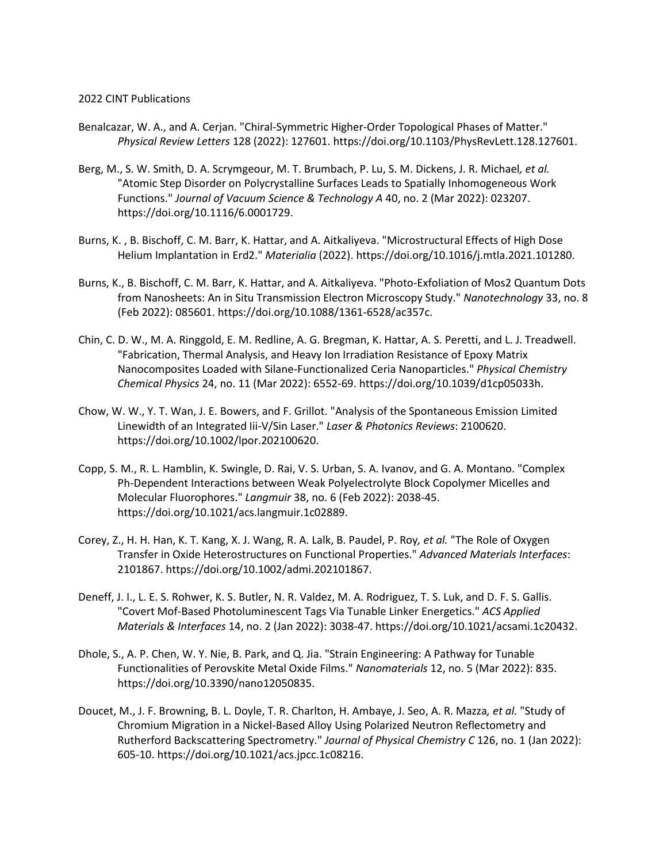## 2022 CINT Publications

- Benalcazar, W. A., and A. Cerjan. "Chiral-Symmetric Higher-Order Topological Phases of Matter." *Physical Review Letters* 128 (2022): 127601. https://doi.org/10.1103/PhysRevLett.128.127601.
- Berg, M., S. W. Smith, D. A. Scrymgeour, M. T. Brumbach, P. Lu, S. M. Dickens, J. R. Michael*, et al.* "Atomic Step Disorder on Polycrystalline Surfaces Leads to Spatially Inhomogeneous Work Functions." *Journal of Vacuum Science & Technology A* 40, no. 2 (Mar 2022): 023207. https://doi.org/10.1116/6.0001729.
- Burns, K. , B. Bischoff, C. M. Barr, K. Hattar, and A. Aitkaliyeva. "Microstructural Effects of High Dose Helium Implantation in Erd2." *Materialia* (2022). https://doi.org/10.1016/j.mtla.2021.101280.
- Burns, K., B. Bischoff, C. M. Barr, K. Hattar, and A. Aitkaliyeva. "Photo-Exfoliation of Mos2 Quantum Dots from Nanosheets: An in Situ Transmission Electron Microscopy Study." *Nanotechnology* 33, no. 8 (Feb 2022): 085601. https://doi.org/10.1088/1361-6528/ac357c.
- Chin, C. D. W., M. A. Ringgold, E. M. Redline, A. G. Bregman, K. Hattar, A. S. Peretti, and L. J. Treadwell. "Fabrication, Thermal Analysis, and Heavy Ion Irradiation Resistance of Epoxy Matrix Nanocomposites Loaded with Silane-Functionalized Ceria Nanoparticles." *Physical Chemistry Chemical Physics* 24, no. 11 (Mar 2022): 6552-69. https://doi.org/10.1039/d1cp05033h.
- Chow, W. W., Y. T. Wan, J. E. Bowers, and F. Grillot. "Analysis of the Spontaneous Emission Limited Linewidth of an Integrated Iii-V/Sin Laser." *Laser & Photonics Reviews*: 2100620. https://doi.org/10.1002/lpor.202100620.
- Copp, S. M., R. L. Hamblin, K. Swingle, D. Rai, V. S. Urban, S. A. Ivanov, and G. A. Montano. "Complex Ph-Dependent Interactions between Weak Polyelectrolyte Block Copolymer Micelles and Molecular Fluorophores." *Langmuir* 38, no. 6 (Feb 2022): 2038-45. https://doi.org/10.1021/acs.langmuir.1c02889.
- Corey, Z., H. H. Han, K. T. Kang, X. J. Wang, R. A. Lalk, B. Paudel, P. Roy*, et al.* "The Role of Oxygen Transfer in Oxide Heterostructures on Functional Properties." *Advanced Materials Interfaces*: 2101867. https://doi.org/10.1002/admi.202101867.
- Deneff, J. I., L. E. S. Rohwer, K. S. Butler, N. R. Valdez, M. A. Rodriguez, T. S. Luk, and D. F. S. Gallis. "Covert Mof-Based Photoluminescent Tags Via Tunable Linker Energetics." *ACS Applied Materials & Interfaces* 14, no. 2 (Jan 2022): 3038-47. https://doi.org/10.1021/acsami.1c20432.
- Dhole, S., A. P. Chen, W. Y. Nie, B. Park, and Q. Jia. "Strain Engineering: A Pathway for Tunable Functionalities of Perovskite Metal Oxide Films." *Nanomaterials* 12, no. 5 (Mar 2022): 835. https://doi.org/10.3390/nano12050835.
- Doucet, M., J. F. Browning, B. L. Doyle, T. R. Charlton, H. Ambaye, J. Seo, A. R. Mazza*, et al.* "Study of Chromium Migration in a Nickel-Based Alloy Using Polarized Neutron Reflectometry and Rutherford Backscattering Spectrometry." *Journal of Physical Chemistry C* 126, no. 1 (Jan 2022): 605-10. https://doi.org/10.1021/acs.jpcc.1c08216.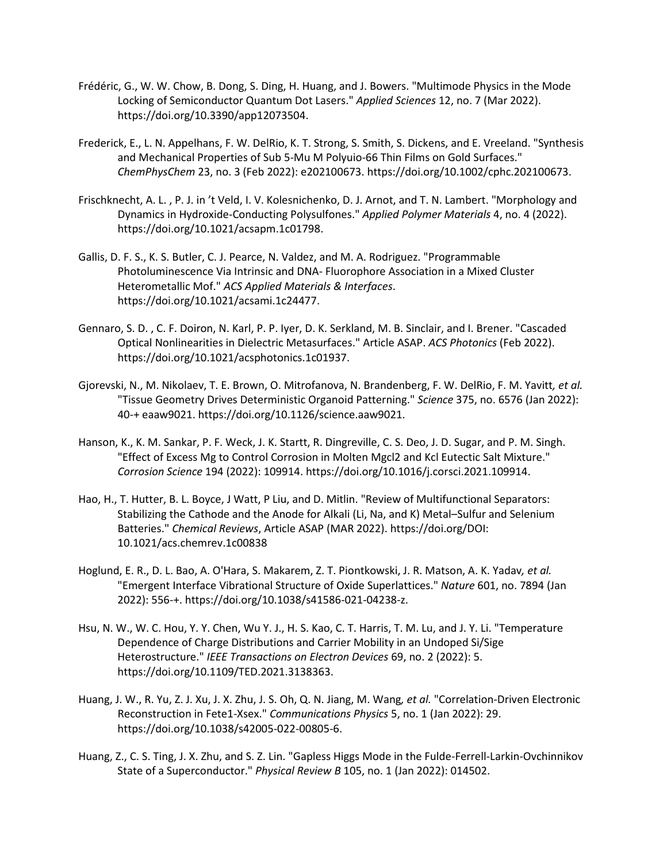- Frédéric, G., W. W. Chow, B. Dong, S. Ding, H. Huang, and J. Bowers. "Multimode Physics in the Mode Locking of Semiconductor Quantum Dot Lasers." *Applied Sciences* 12, no. 7 (Mar 2022). https://doi.org/10.3390/app12073504.
- Frederick, E., L. N. Appelhans, F. W. DelRio, K. T. Strong, S. Smith, S. Dickens, and E. Vreeland. "Synthesis and Mechanical Properties of Sub 5-Mu M Polyuio-66 Thin Films on Gold Surfaces." *ChemPhysChem* 23, no. 3 (Feb 2022): e202100673. https://doi.org/10.1002/cphc.202100673.
- Frischknecht, A. L. , P. J. in 't Veld, I. V. Kolesnichenko, D. J. Arnot, and T. N. Lambert. "Morphology and Dynamics in Hydroxide-Conducting Polysulfones." *Applied Polymer Materials* 4, no. 4 (2022). https://doi.org/10.1021/acsapm.1c01798.
- Gallis, D. F. S., K. S. Butler, C. J. Pearce, N. Valdez, and M. A. Rodriguez. "Programmable Photoluminescence Via Intrinsic and DNA- Fluorophore Association in a Mixed Cluster Heterometallic Mof." *ACS Applied Materials & Interfaces*. https://doi.org/10.1021/acsami.1c24477.
- Gennaro, S. D. , C. F. Doiron, N. Karl, P. P. Iyer, D. K. Serkland, M. B. Sinclair, and I. Brener. "Cascaded Optical Nonlinearities in Dielectric Metasurfaces." Article ASAP. *ACS Photonics* (Feb 2022). https://doi.org/10.1021/acsphotonics.1c01937.
- Gjorevski, N., M. Nikolaev, T. E. Brown, O. Mitrofanova, N. Brandenberg, F. W. DelRio, F. M. Yavitt*, et al.* "Tissue Geometry Drives Deterministic Organoid Patterning." *Science* 375, no. 6576 (Jan 2022): 40-+ eaaw9021. https://doi.org/10.1126/science.aaw9021.
- Hanson, K., K. M. Sankar, P. F. Weck, J. K. Startt, R. Dingreville, C. S. Deo, J. D. Sugar, and P. M. Singh. "Effect of Excess Mg to Control Corrosion in Molten Mgcl2 and Kcl Eutectic Salt Mixture." *Corrosion Science* 194 (2022): 109914. https://doi.org/10.1016/j.corsci.2021.109914.
- Hao, H., T. Hutter, B. L. Boyce, J Watt, P Liu, and D. Mitlin. "Review of Multifunctional Separators: Stabilizing the Cathode and the Anode for Alkali (Li, Na, and K) Metal–Sulfur and Selenium Batteries." *Chemical Reviews*, Article ASAP (MAR 2022). https://doi.org/DOI: 10.1021/acs.chemrev.1c00838
- Hoglund, E. R., D. L. Bao, A. O'Hara, S. Makarem, Z. T. Piontkowski, J. R. Matson, A. K. Yadav*, et al.* "Emergent Interface Vibrational Structure of Oxide Superlattices." *Nature* 601, no. 7894 (Jan 2022): 556-+. https://doi.org/10.1038/s41586-021-04238-z.
- Hsu, N. W., W. C. Hou, Y. Y. Chen, Wu Y. J., H. S. Kao, C. T. Harris, T. M. Lu, and J. Y. Li. "Temperature Dependence of Charge Distributions and Carrier Mobility in an Undoped Si/Sige Heterostructure." *IEEE Transactions on Electron Devices* 69, no. 2 (2022): 5. https://doi.org/10.1109/TED.2021.3138363.
- Huang, J. W., R. Yu, Z. J. Xu, J. X. Zhu, J. S. Oh, Q. N. Jiang, M. Wang*, et al.* "Correlation-Driven Electronic Reconstruction in Fete1-Xsex." *Communications Physics* 5, no. 1 (Jan 2022): 29. https://doi.org/10.1038/s42005-022-00805-6.
- Huang, Z., C. S. Ting, J. X. Zhu, and S. Z. Lin. "Gapless Higgs Mode in the Fulde-Ferrell-Larkin-Ovchinnikov State of a Superconductor." *Physical Review B* 105, no. 1 (Jan 2022): 014502.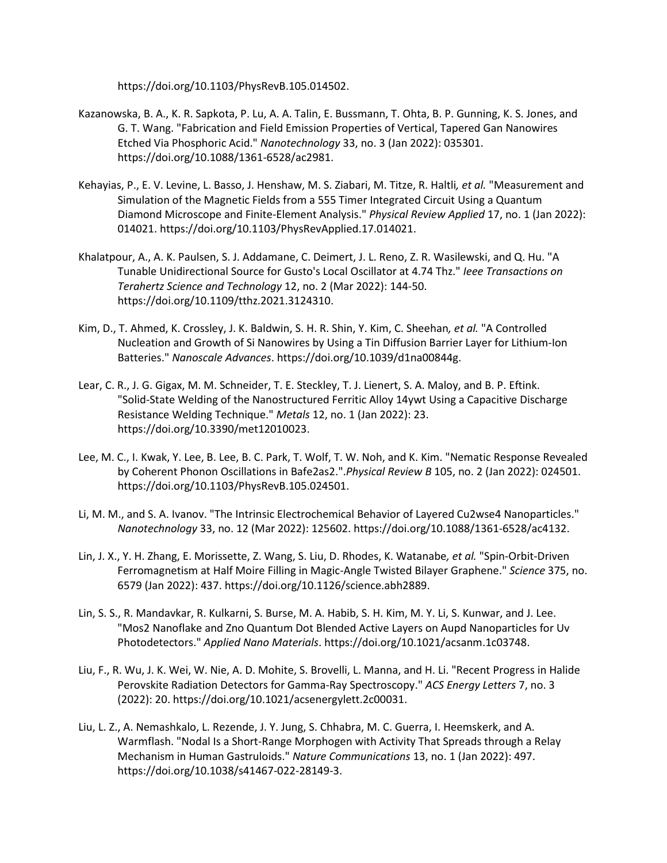https://doi.org/10.1103/PhysRevB.105.014502.

- Kazanowska, B. A., K. R. Sapkota, P. Lu, A. A. Talin, E. Bussmann, T. Ohta, B. P. Gunning, K. S. Jones, and G. T. Wang. "Fabrication and Field Emission Properties of Vertical, Tapered Gan Nanowires Etched Via Phosphoric Acid." *Nanotechnology* 33, no. 3 (Jan 2022): 035301. https://doi.org/10.1088/1361-6528/ac2981.
- Kehayias, P., E. V. Levine, L. Basso, J. Henshaw, M. S. Ziabari, M. Titze, R. Haltli*, et al.* "Measurement and Simulation of the Magnetic Fields from a 555 Timer Integrated Circuit Using a Quantum Diamond Microscope and Finite-Element Analysis." *Physical Review Applied* 17, no. 1 (Jan 2022): 014021. https://doi.org/10.1103/PhysRevApplied.17.014021.
- Khalatpour, A., A. K. Paulsen, S. J. Addamane, C. Deimert, J. L. Reno, Z. R. Wasilewski, and Q. Hu. "A Tunable Unidirectional Source for Gusto's Local Oscillator at 4.74 Thz." *Ieee Transactions on Terahertz Science and Technology* 12, no. 2 (Mar 2022): 144-50. https://doi.org/10.1109/tthz.2021.3124310.
- Kim, D., T. Ahmed, K. Crossley, J. K. Baldwin, S. H. R. Shin, Y. Kim, C. Sheehan*, et al.* "A Controlled Nucleation and Growth of Si Nanowires by Using a Tin Diffusion Barrier Layer for Lithium-Ion Batteries." *Nanoscale Advances*. https://doi.org/10.1039/d1na00844g.
- Lear, C. R., J. G. Gigax, M. M. Schneider, T. E. Steckley, T. J. Lienert, S. A. Maloy, and B. P. Eftink. "Solid-State Welding of the Nanostructured Ferritic Alloy 14ywt Using a Capacitive Discharge Resistance Welding Technique." *Metals* 12, no. 1 (Jan 2022): 23. https://doi.org/10.3390/met12010023.
- Lee, M. C., I. Kwak, Y. Lee, B. Lee, B. C. Park, T. Wolf, T. W. Noh, and K. Kim. "Nematic Response Revealed by Coherent Phonon Oscillations in Bafe2as2.".*Physical Review B* 105, no. 2 (Jan 2022): 024501. https://doi.org/10.1103/PhysRevB.105.024501.
- Li, M. M., and S. A. Ivanov. "The Intrinsic Electrochemical Behavior of Layered Cu2wse4 Nanoparticles." *Nanotechnology* 33, no. 12 (Mar 2022): 125602. https://doi.org/10.1088/1361-6528/ac4132.
- Lin, J. X., Y. H. Zhang, E. Morissette, Z. Wang, S. Liu, D. Rhodes, K. Watanabe*, et al.* "Spin-Orbit-Driven Ferromagnetism at Half Moire Filling in Magic-Angle Twisted Bilayer Graphene." *Science* 375, no. 6579 (Jan 2022): 437. https://doi.org/10.1126/science.abh2889.
- Lin, S. S., R. Mandavkar, R. Kulkarni, S. Burse, M. A. Habib, S. H. Kim, M. Y. Li, S. Kunwar, and J. Lee. "Mos2 Nanoflake and Zno Quantum Dot Blended Active Layers on Aupd Nanoparticles for Uv Photodetectors." *Applied Nano Materials*. https://doi.org/10.1021/acsanm.1c03748.
- Liu, F., R. Wu, J. K. Wei, W. Nie, A. D. Mohite, S. Brovelli, L. Manna, and H. Li. "Recent Progress in Halide Perovskite Radiation Detectors for Gamma-Ray Spectroscopy." *ACS Energy Letters* 7, no. 3 (2022): 20. https://doi.org/10.1021/acsenergylett.2c00031.
- Liu, L. Z., A. Nemashkalo, L. Rezende, J. Y. Jung, S. Chhabra, M. C. Guerra, I. Heemskerk, and A. Warmflash. "Nodal Is a Short-Range Morphogen with Activity That Spreads through a Relay Mechanism in Human Gastruloids." *Nature Communications* 13, no. 1 (Jan 2022): 497. https://doi.org/10.1038/s41467-022-28149-3.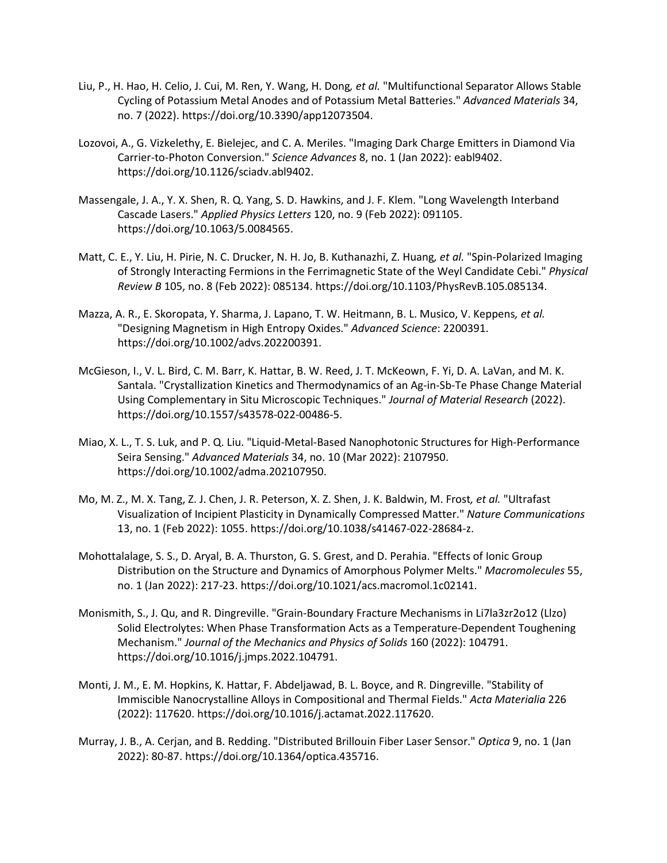- Liu, P., H. Hao, H. Celio, J. Cui, M. Ren, Y. Wang, H. Dong*, et al.* "Multifunctional Separator Allows Stable Cycling of Potassium Metal Anodes and of Potassium Metal Batteries." *Advanced Materials* 34, no. 7 (2022). https://doi.org/10.3390/app12073504.
- Lozovoi, A., G. Vizkelethy, E. Bielejec, and C. A. Meriles. "Imaging Dark Charge Emitters in Diamond Via Carrier-to-Photon Conversion." *Science Advances* 8, no. 1 (Jan 2022): eabl9402. https://doi.org/10.1126/sciadv.abl9402.
- Massengale, J. A., Y. X. Shen, R. Q. Yang, S. D. Hawkins, and J. F. Klem. "Long Wavelength Interband Cascade Lasers." *Applied Physics Letters* 120, no. 9 (Feb 2022): 091105. https://doi.org/10.1063/5.0084565.
- Matt, C. E., Y. Liu, H. Pirie, N. C. Drucker, N. H. Jo, B. Kuthanazhi, Z. Huang*, et al.* "Spin-Polarized Imaging of Strongly Interacting Fermions in the Ferrimagnetic State of the Weyl Candidate Cebi." *Physical Review B* 105, no. 8 (Feb 2022): 085134. https://doi.org/10.1103/PhysRevB.105.085134.
- Mazza, A. R., E. Skoropata, Y. Sharma, J. Lapano, T. W. Heitmann, B. L. Musico, V. Keppens*, et al.* "Designing Magnetism in High Entropy Oxides." *Advanced Science*: 2200391. https://doi.org/10.1002/advs.202200391.
- McGieson, I., V. L. Bird, C. M. Barr, K. Hattar, B. W. Reed, J. T. McKeown, F. Yi, D. A. LaVan, and M. K. Santala. "Crystallization Kinetics and Thermodynamics of an Ag-in-Sb-Te Phase Change Material Using Complementary in Situ Microscopic Techniques." *Journal of Material Research* (2022). https://doi.org/10.1557/s43578-022-00486-5.
- Miao, X. L., T. S. Luk, and P. Q. Liu. "Liquid-Metal-Based Nanophotonic Structures for High-Performance Seira Sensing." *Advanced Materials* 34, no. 10 (Mar 2022): 2107950. https://doi.org/10.1002/adma.202107950.
- Mo, M. Z., M. X. Tang, Z. J. Chen, J. R. Peterson, X. Z. Shen, J. K. Baldwin, M. Frost*, et al.* "Ultrafast Visualization of Incipient Plasticity in Dynamically Compressed Matter." *Nature Communications*  13, no. 1 (Feb 2022): 1055. https://doi.org/10.1038/s41467-022-28684-z.
- Mohottalalage, S. S., D. Aryal, B. A. Thurston, G. S. Grest, and D. Perahia. "Effects of Ionic Group Distribution on the Structure and Dynamics of Amorphous Polymer Melts." *Macromolecules* 55, no. 1 (Jan 2022): 217-23. https://doi.org/10.1021/acs.macromol.1c02141.
- Monismith, S., J. Qu, and R. Dingreville. "Grain-Boundary Fracture Mechanisms in Li7la3zr2o12 (Llzo) Solid Electrolytes: When Phase Transformation Acts as a Temperature-Dependent Toughening Mechanism." *Journal of the Mechanics and Physics of Solids* 160 (2022): 104791. https://doi.org/10.1016/j.jmps.2022.104791.
- Monti, J. M., E. M. Hopkins, K. Hattar, F. Abdeljawad, B. L. Boyce, and R. Dingreville. "Stability of Immiscible Nanocrystalline Alloys in Compositional and Thermal Fields." *Acta Materialia* 226 (2022): 117620. https://doi.org/10.1016/j.actamat.2022.117620.
- Murray, J. B., A. Cerjan, and B. Redding. "Distributed Brillouin Fiber Laser Sensor." *Optica* 9, no. 1 (Jan 2022): 80-87. https://doi.org/10.1364/optica.435716.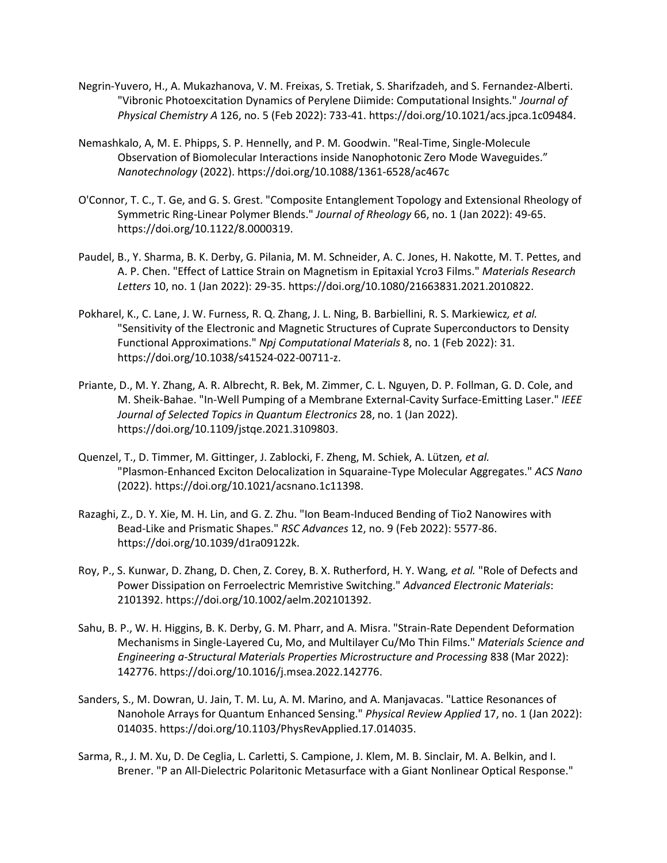- Negrin-Yuvero, H., A. Mukazhanova, V. M. Freixas, S. Tretiak, S. Sharifzadeh, and S. Fernandez-Alberti. "Vibronic Photoexcitation Dynamics of Perylene Diimide: Computational Insights." *Journal of Physical Chemistry A* 126, no. 5 (Feb 2022): 733-41. https://doi.org/10.1021/acs.jpca.1c09484.
- Nemashkalo, A, M. E. Phipps, S. P. Hennelly, and P. M. Goodwin. "Real-Time, Single-Molecule Observation of Biomolecular Interactions inside Nanophotonic Zero Mode Waveguides." *Nanotechnology* (2022). https://doi.org/10.1088/1361-6528/ac467c
- O'Connor, T. C., T. Ge, and G. S. Grest. "Composite Entanglement Topology and Extensional Rheology of Symmetric Ring-Linear Polymer Blends." *Journal of Rheology* 66, no. 1 (Jan 2022): 49-65. https://doi.org/10.1122/8.0000319.
- Paudel, B., Y. Sharma, B. K. Derby, G. Pilania, M. M. Schneider, A. C. Jones, H. Nakotte, M. T. Pettes, and A. P. Chen. "Effect of Lattice Strain on Magnetism in Epitaxial Ycro3 Films." *Materials Research Letters* 10, no. 1 (Jan 2022): 29-35. https://doi.org/10.1080/21663831.2021.2010822.
- Pokharel, K., C. Lane, J. W. Furness, R. Q. Zhang, J. L. Ning, B. Barbiellini, R. S. Markiewicz*, et al.* "Sensitivity of the Electronic and Magnetic Structures of Cuprate Superconductors to Density Functional Approximations." *Npj Computational Materials* 8, no. 1 (Feb 2022): 31. https://doi.org/10.1038/s41524-022-00711-z.
- Priante, D., M. Y. Zhang, A. R. Albrecht, R. Bek, M. Zimmer, C. L. Nguyen, D. P. Follman, G. D. Cole, and M. Sheik-Bahae. "In-Well Pumping of a Membrane External-Cavity Surface-Emitting Laser." *IEEE Journal of Selected Topics in Quantum Electronics* 28, no. 1 (Jan 2022). https://doi.org/10.1109/jstqe.2021.3109803.
- Quenzel, T., D. Timmer, M. Gittinger, J. Zablocki, F. Zheng, M. Schiek, A. Lützen*, et al.* "Plasmon-Enhanced Exciton Delocalization in Squaraine-Type Molecular Aggregates." *ACS Nano*  (2022). https://doi.org/10.1021/acsnano.1c11398.
- Razaghi, Z., D. Y. Xie, M. H. Lin, and G. Z. Zhu. "Ion Beam-Induced Bending of Tio2 Nanowires with Bead-Like and Prismatic Shapes." *RSC Advances* 12, no. 9 (Feb 2022): 5577-86. https://doi.org/10.1039/d1ra09122k.
- Roy, P., S. Kunwar, D. Zhang, D. Chen, Z. Corey, B. X. Rutherford, H. Y. Wang*, et al.* "Role of Defects and Power Dissipation on Ferroelectric Memristive Switching." *Advanced Electronic Materials*: 2101392. https://doi.org/10.1002/aelm.202101392.
- Sahu, B. P., W. H. Higgins, B. K. Derby, G. M. Pharr, and A. Misra. "Strain-Rate Dependent Deformation Mechanisms in Single-Layered Cu, Mo, and Multilayer Cu/Mo Thin Films." *Materials Science and Engineering a-Structural Materials Properties Microstructure and Processing* 838 (Mar 2022): 142776. https://doi.org/10.1016/j.msea.2022.142776.
- Sanders, S., M. Dowran, U. Jain, T. M. Lu, A. M. Marino, and A. Manjavacas. "Lattice Resonances of Nanohole Arrays for Quantum Enhanced Sensing." *Physical Review Applied* 17, no. 1 (Jan 2022): 014035. https://doi.org/10.1103/PhysRevApplied.17.014035.
- Sarma, R., J. M. Xu, D. De Ceglia, L. Carletti, S. Campione, J. Klem, M. B. Sinclair, M. A. Belkin, and I. Brener. "P an All-Dielectric Polaritonic Metasurface with a Giant Nonlinear Optical Response."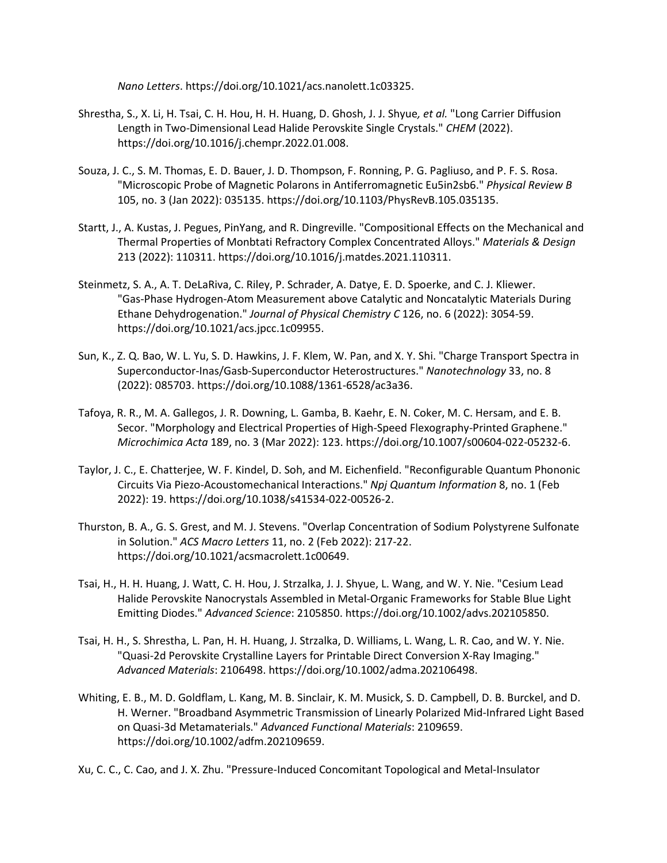*Nano Letters*. https://doi.org/10.1021/acs.nanolett.1c03325.

- Shrestha, S., X. Li, H. Tsai, C. H. Hou, H. H. Huang, D. Ghosh, J. J. Shyue*, et al.* "Long Carrier Diffusion Length in Two-Dimensional Lead Halide Perovskite Single Crystals." *CHEM* (2022). https://doi.org/10.1016/j.chempr.2022.01.008.
- Souza, J. C., S. M. Thomas, E. D. Bauer, J. D. Thompson, F. Ronning, P. G. Pagliuso, and P. F. S. Rosa. "Microscopic Probe of Magnetic Polarons in Antiferromagnetic Eu5in2sb6." *Physical Review B*  105, no. 3 (Jan 2022): 035135. https://doi.org/10.1103/PhysRevB.105.035135.
- Startt, J., A. Kustas, J. Pegues, PinYang, and R. Dingreville. "Compositional Effects on the Mechanical and Thermal Properties of Monbtati Refractory Complex Concentrated Alloys." *Materials & Design*  213 (2022): 110311. https://doi.org/10.1016/j.matdes.2021.110311.
- Steinmetz, S. A., A. T. DeLaRiva, C. Riley, P. Schrader, A. Datye, E. D. Spoerke, and C. J. Kliewer. "Gas-Phase Hydrogen-Atom Measurement above Catalytic and Noncatalytic Materials During Ethane Dehydrogenation." *Journal of Physical Chemistry C* 126, no. 6 (2022): 3054-59. https://doi.org/10.1021/acs.jpcc.1c09955.
- Sun, K., Z. Q. Bao, W. L. Yu, S. D. Hawkins, J. F. Klem, W. Pan, and X. Y. Shi. "Charge Transport Spectra in Superconductor-Inas/Gasb-Superconductor Heterostructures." *Nanotechnology* 33, no. 8 (2022): 085703. https://doi.org/10.1088/1361-6528/ac3a36.
- Tafoya, R. R., M. A. Gallegos, J. R. Downing, L. Gamba, B. Kaehr, E. N. Coker, M. C. Hersam, and E. B. Secor. "Morphology and Electrical Properties of High-Speed Flexography-Printed Graphene." *Microchimica Acta* 189, no. 3 (Mar 2022): 123. https://doi.org/10.1007/s00604-022-05232-6.
- Taylor, J. C., E. Chatterjee, W. F. Kindel, D. Soh, and M. Eichenfield. "Reconfigurable Quantum Phononic Circuits Via Piezo-Acoustomechanical Interactions." *Npj Quantum Information* 8, no. 1 (Feb 2022): 19. https://doi.org/10.1038/s41534-022-00526-2.
- Thurston, B. A., G. S. Grest, and M. J. Stevens. "Overlap Concentration of Sodium Polystyrene Sulfonate in Solution." *ACS Macro Letters* 11, no. 2 (Feb 2022): 217-22. https://doi.org/10.1021/acsmacrolett.1c00649.
- Tsai, H., H. H. Huang, J. Watt, C. H. Hou, J. Strzalka, J. J. Shyue, L. Wang, and W. Y. Nie. "Cesium Lead Halide Perovskite Nanocrystals Assembled in Metal-Organic Frameworks for Stable Blue Light Emitting Diodes." *Advanced Science*: 2105850. https://doi.org/10.1002/advs.202105850.
- Tsai, H. H., S. Shrestha, L. Pan, H. H. Huang, J. Strzalka, D. Williams, L. Wang, L. R. Cao, and W. Y. Nie. "Quasi-2d Perovskite Crystalline Layers for Printable Direct Conversion X-Ray Imaging." *Advanced Materials*: 2106498. https://doi.org/10.1002/adma.202106498.
- Whiting, E. B., M. D. Goldflam, L. Kang, M. B. Sinclair, K. M. Musick, S. D. Campbell, D. B. Burckel, and D. H. Werner. "Broadband Asymmetric Transmission of Linearly Polarized Mid-Infrared Light Based on Quasi-3d Metamaterials." *Advanced Functional Materials*: 2109659. https://doi.org/10.1002/adfm.202109659.

Xu, C. C., C. Cao, and J. X. Zhu. "Pressure-Induced Concomitant Topological and Metal-Insulator